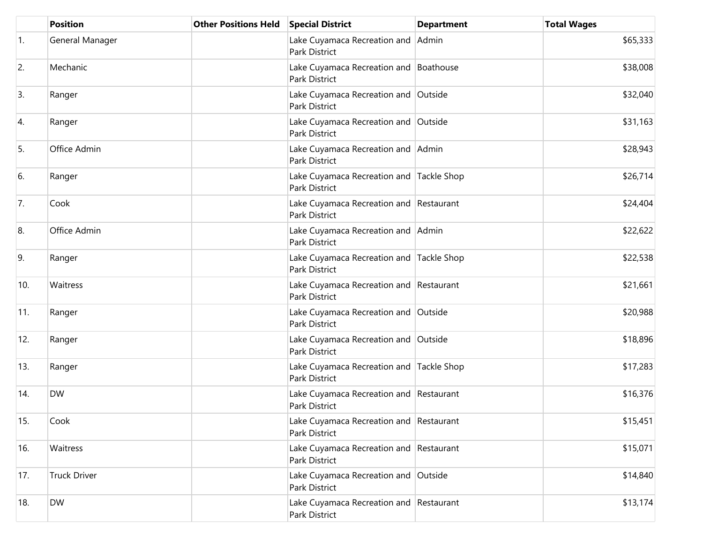|                  | <b>Position</b>     | <b>Other Positions Held</b> | <b>Special District</b>                                   | <b>Department</b> | <b>Total Wages</b> |
|------------------|---------------------|-----------------------------|-----------------------------------------------------------|-------------------|--------------------|
| $\overline{1}$ . | General Manager     |                             | Lake Cuyamaca Recreation and Admin<br>Park District       |                   | \$65,333           |
| 2.               | Mechanic            |                             | Lake Cuyamaca Recreation and Boathouse<br>Park District   |                   | \$38,008           |
| 3.               | Ranger              |                             | Lake Cuyamaca Recreation and Outside<br>Park District     |                   | \$32,040           |
| 4.               | Ranger              |                             | Lake Cuyamaca Recreation and Outside<br>Park District     |                   | \$31,163           |
| 5.               | Office Admin        |                             | Lake Cuyamaca Recreation and Admin<br>Park District       |                   | \$28,943           |
| 6.               | Ranger              |                             | Lake Cuyamaca Recreation and Tackle Shop<br>Park District |                   | \$26,714           |
| 7.               | Cook                |                             | Lake Cuyamaca Recreation and Restaurant<br>Park District  |                   | \$24,404           |
| 8.               | Office Admin        |                             | Lake Cuyamaca Recreation and Admin<br>Park District       |                   | \$22,622           |
| 9.               | Ranger              |                             | Lake Cuyamaca Recreation and Tackle Shop<br>Park District |                   | \$22,538           |
| 10.              | Waitress            |                             | Lake Cuyamaca Recreation and Restaurant<br>Park District  |                   | \$21,661           |
| 11.              | Ranger              |                             | Lake Cuyamaca Recreation and Outside<br>Park District     |                   | \$20,988           |
| 12.              | Ranger              |                             | Lake Cuyamaca Recreation and Outside<br>Park District     |                   | \$18,896           |
| 13.              | Ranger              |                             | Lake Cuyamaca Recreation and Tackle Shop<br>Park District |                   | \$17,283           |
| 14.              | <b>DW</b>           |                             | Lake Cuyamaca Recreation and Restaurant<br>Park District  |                   | \$16,376           |
| 15.              | Cook                |                             | Lake Cuyamaca Recreation and Restaurant<br>Park District  |                   | \$15,451           |
| 16.              | Waitress            |                             | Lake Cuyamaca Recreation and Restaurant<br>Park District  |                   | \$15,071           |
| 17.              | <b>Truck Driver</b> |                             | Lake Cuyamaca Recreation and Outside<br>Park District     |                   | \$14,840           |
| 18.              | <b>DW</b>           |                             | Lake Cuyamaca Recreation and Restaurant<br>Park District  |                   | \$13,174           |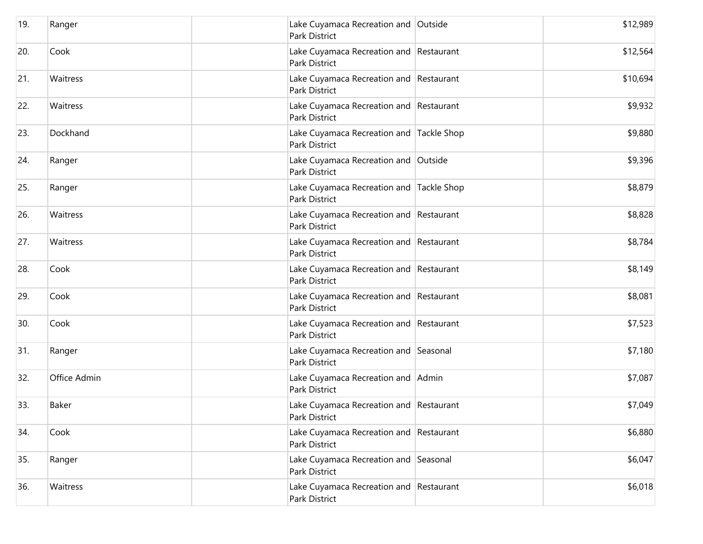| 19. | Ranger       | Lake Cuyamaca Recreation and Outside<br>Park District            | \$12,989 |
|-----|--------------|------------------------------------------------------------------|----------|
| 20. | Cook         | Lake Cuyamaca Recreation and Restaurant<br>Park District         | \$12,564 |
| 21. | Waitress     | Lake Cuyamaca Recreation and Restaurant<br>Park District         | \$10,694 |
| 22. | Waitress     | Lake Cuyamaca Recreation and Restaurant<br>Park District         | \$9,932  |
| 23. | Dockhand     | Lake Cuyamaca Recreation and Tackle Shop<br>Park District        | \$9,880  |
| 24. | Ranger       | Lake Cuyamaca Recreation and Outside<br>Park District            | \$9,396  |
| 25. | Ranger       | Lake Cuyamaca Recreation and Tackle Shop<br><b>Park District</b> | \$8,879  |
| 26. | Waitress     | Lake Cuyamaca Recreation and Restaurant<br>Park District         | \$8,828  |
| 27. | Waitress     | Lake Cuyamaca Recreation and Restaurant<br>Park District         | \$8,784  |
| 28. | Cook         | Lake Cuyamaca Recreation and Restaurant<br>Park District         | \$8,149  |
| 29. | Cook         | Lake Cuyamaca Recreation and Restaurant<br>Park District         | \$8,081  |
| 30. | Cook         | Lake Cuyamaca Recreation and Restaurant<br>Park District         | \$7,523  |
| 31. | Ranger       | Lake Cuyamaca Recreation and Seasonal<br>Park District           | \$7,180  |
| 32. | Office Admin | Lake Cuyamaca Recreation and Admin<br>Park District              | \$7,087  |
| 33. | <b>Baker</b> | Lake Cuyamaca Recreation and Restaurant<br>Park District         | \$7,049  |
| 34. | Cook         | Lake Cuyamaca Recreation and Restaurant<br>Park District         | \$6,880  |
| 35. | Ranger       | Lake Cuyamaca Recreation and Seasonal<br>Park District           | \$6,047  |
| 36. | Waitress     | Lake Cuyamaca Recreation and Restaurant<br>Park District         | \$6,018  |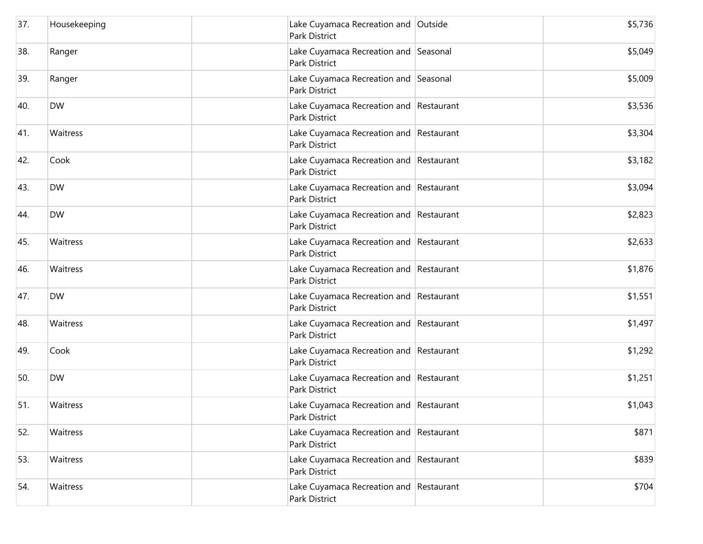| 37. | Housekeeping | Lake Cuyamaca Recreation and Outside<br>Park District           | \$5,736 |
|-----|--------------|-----------------------------------------------------------------|---------|
| 38. | Ranger       | Lake Cuyamaca Recreation and Seasonal<br>Park District          | \$5,049 |
| 39. | Ranger       | Lake Cuyamaca Recreation and Seasonal<br>Park District          | \$5,009 |
| 40. | <b>DW</b>    | Lake Cuyamaca Recreation and Restaurant<br>Park District        | \$3,536 |
| 41. | Waitress     | Lake Cuyamaca Recreation and Restaurant<br>Park District        | \$3,304 |
| 42. | Cook         | Lake Cuyamaca Recreation and Restaurant<br>Park District        | \$3,182 |
| 43. | <b>DW</b>    | Lake Cuyamaca Recreation and Restaurant<br><b>Park District</b> | \$3,094 |
| 44. | <b>DW</b>    | Lake Cuyamaca Recreation and Restaurant<br>Park District        | \$2,823 |
| 45. | Waitress     | Lake Cuyamaca Recreation and Restaurant<br>Park District        | \$2,633 |
| 46. | Waitress     | Lake Cuyamaca Recreation and Restaurant<br>Park District        | \$1,876 |
| 47. | <b>DW</b>    | Lake Cuyamaca Recreation and Restaurant<br>Park District        | \$1,551 |
| 48. | Waitress     | Lake Cuyamaca Recreation and Restaurant<br>Park District        | \$1,497 |
| 49. | Cook         | Lake Cuyamaca Recreation and Restaurant<br>Park District        | \$1,292 |
| 50. | <b>DW</b>    | Lake Cuyamaca Recreation and Restaurant<br>Park District        | \$1,251 |
| 51. | Waitress     | Lake Cuyamaca Recreation and Restaurant<br>Park District        | \$1,043 |
| 52. | Waitress     | Lake Cuyamaca Recreation and Restaurant<br>Park District        | \$871   |
| 53. | Waitress     | Lake Cuyamaca Recreation and Restaurant<br>Park District        | \$839   |
| 54. | Waitress     | Lake Cuyamaca Recreation and Restaurant<br>Park District        | \$704   |